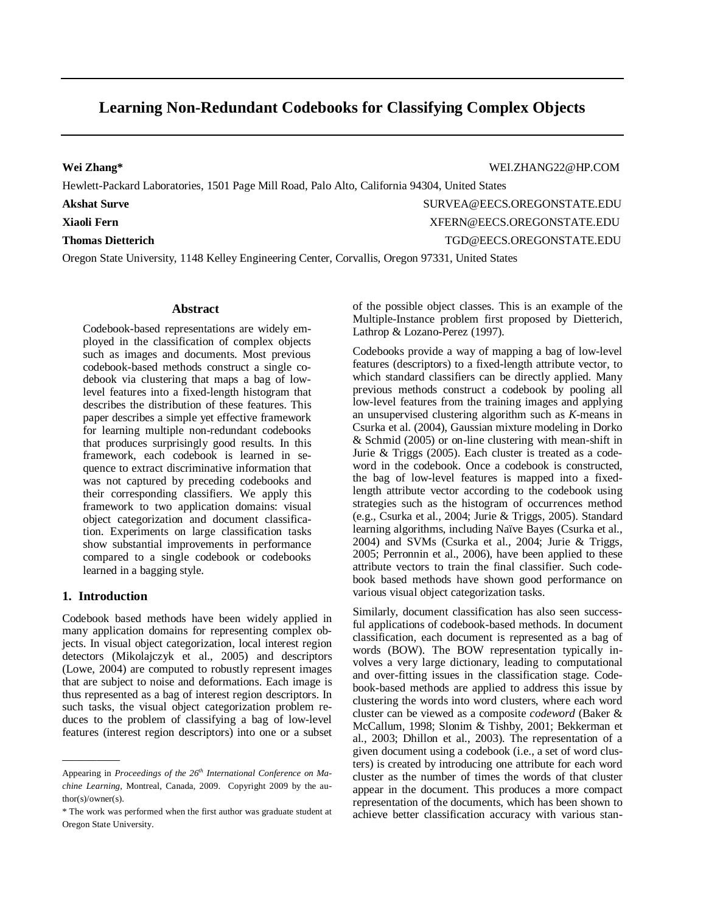# **Learning Non-Redundant Codebooks for Classifying Complex Objects**

**Wei Zhang\*** WEI.ZHANG22@HP.COM

Hewlett-Packard Laboratories, 1501 Page Mill Road, Palo Alto, California 94304, United States

# **Akshat Surve SURVEA@EECS.OREGONSTATE.EDU**

**Xiaoli Fern** XFERN@EECS.OREGONSTATE.EDU

# **Thomas Dietterich** TGD@EECS.OREGONSTATE.EDU

Oregon State University, 1148 Kelley Engineering Center, Corvallis, Oregon 97331, United States

# **Abstract**

Codebook-based representations are widely employed in the classification of complex objects such as images and documents. Most previous codebook-based methods construct a single codebook via clustering that maps a bag of lowlevel features into a fixed-length histogram that describes the distribution of these features. This paper describes a simple yet effective framework for learning multiple non-redundant codebooks that produces surprisingly good results. In this framework, each codebook is learned in sequence to extract discriminative information that was not captured by preceding codebooks and their corresponding classifiers. We apply this framework to two application domains: visual object categorization and document classification. Experiments on large classification tasks show substantial improvements in performance compared to a single codebook or codebooks learned in a bagging style.

# **1. Introduction**

—————

Codebook based methods have been widely applied in many application domains for representing complex objects. In visual object categorization, local interest region detectors (Mikolajczyk et al., 2005) and descriptors (Lowe, 2004) are computed to robustly represent images that are subject to noise and deformations. Each image is thus represented as a bag of interest region descriptors. In such tasks, the visual object categorization problem reduces to the problem of classifying a bag of low-level features (interest region descriptors) into one or a subset of the possible object classes. This is an example of the Multiple-Instance problem first proposed by Dietterich, Lathrop & Lozano-Perez (1997).

Codebooks provide a way of mapping a bag of low-level features (descriptors) to a fixed-length attribute vector, to which standard classifiers can be directly applied. Many previous methods construct a codebook by pooling all low-level features from the training images and applying an unsupervised clustering algorithm such as *K*-means in Csurka et al. (2004), Gaussian mixture modeling in Dorko & Schmid (2005) or on-line clustering with mean-shift in Jurie & Triggs (2005). Each cluster is treated as a codeword in the codebook. Once a codebook is constructed, the bag of low-level features is mapped into a fixedlength attribute vector according to the codebook using strategies such as the histogram of occurrences method (e.g., Csurka et al., 2004; Jurie & Triggs, 2005). Standard learning algorithms, including Naïve Bayes (Csurka et al., 2004) and SVMs (Csurka et al., 2004; Jurie & Triggs, 2005; Perronnin et al., 2006), have been applied to these attribute vectors to train the final classifier. Such codebook based methods have shown good performance on various visual object categorization tasks.

Similarly, document classification has also seen successful applications of codebook-based methods. In document classification, each document is represented as a bag of words (BOW). The BOW representation typically involves a very large dictionary, leading to computational and over-fitting issues in the classification stage. Codebook-based methods are applied to address this issue by clustering the words into word clusters, where each word cluster can be viewed as a composite *codeword* (Baker & McCallum, 1998; Slonim & Tishby, 2001; Bekkerman et al., 2003; Dhillon et al., 2003). The representation of a given document using a codebook (i.e., a set of word clusters) is created by introducing one attribute for each word cluster as the number of times the words of that cluster appear in the document. This produces a more compact representation of the documents, which has been shown to achieve better classification accuracy with various stan-

<span id="page-0-0"></span>Appearing in *Proceedings of the 26<sup>th</sup> International Conference on Machine Learning*, Montreal, Canada, 2009. Copyright 2009 by the author(s)/owner(s).

<sup>\*</sup> The work was performed when the first author was graduate student at Oregon State University.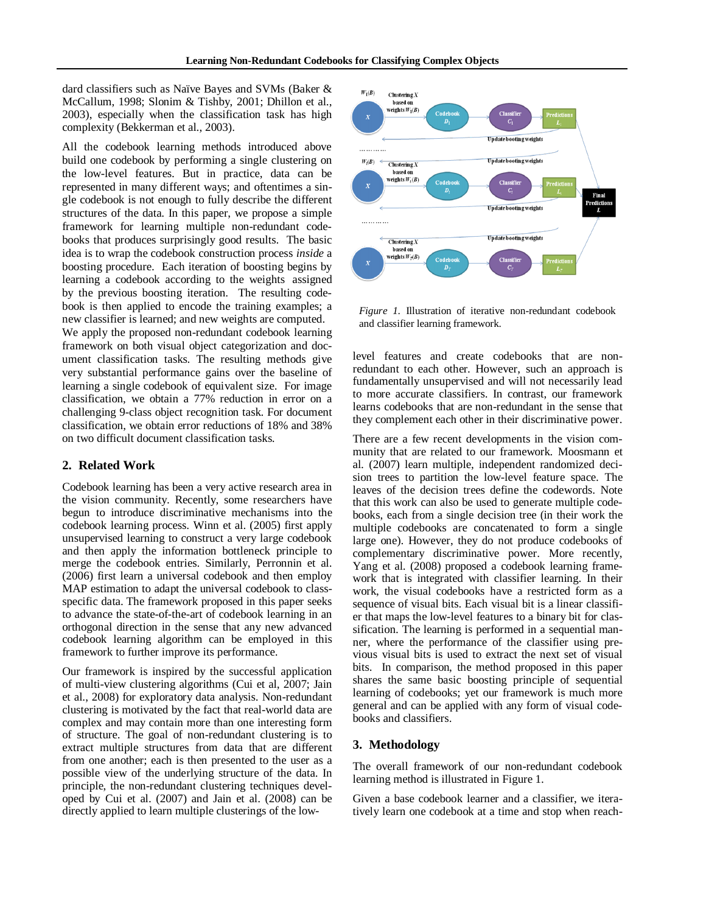dard classifiers such as Naïve Bayes and SVMs (Baker & McCallum, 1998; Slonim & Tishby, 2001; Dhillon et al., 2003), especially when the classification task has high complexity (Bekkerman et al., 2003).

All the codebook learning methods introduced above build one codebook by performing a single clustering on the low-level features. But in practice, data can be represented in many different ways; and oftentimes a single codebook is not enough to fully describe the different structures of the data. In this paper, we propose a simple framework for learning multiple non-redundant codebooks that produces surprisingly good results. The basic idea is to wrap the codebook construction process *inside* a boosting procedure. Each iteration of boosting begins by learning a codebook according to the weights assigned by the previous boosting iteration. The resulting codebook is then applied to encode the training examples; a new classifier is learned; and new weights are computed. We apply the proposed non-redundant codebook learning framework on both visual object categorization and document classification tasks. The resulting methods give very substantial performance gains over the baseline of learning a single codebook of equivalent size. For image classification, we obtain a 77% reduction in error on a challenging 9-class object recognition task. For document classification, we obtain error reductions of 18% and 38% on two difficult document classification tasks.

#### **2. Related Work**

Codebook learning has been a very active research area in the vision community. Recently, some researchers have begun to introduce discriminative mechanisms into the codebook learning process. Winn et al. (2005) first apply unsupervised learning to construct a very large codebook and then apply the information bottleneck principle to merge the codebook entries. Similarly, Perronnin et al. (2006) first learn a universal codebook and then employ MAP estimation to adapt the universal codebook to classspecific data. The framework proposed in this paper seeks to advance the state-of-the-art of codebook learning in an orthogonal direction in the sense that any new advanced codebook learning algorithm can be employed in this framework to further improve its performance.

Our framework is inspired by the successful application of multi-view clustering algorithms (Cui et al, 2007; Jain et al., 2008) for exploratory data analysis. Non-redundant clustering is motivated by the fact that real-world data are complex and may contain more than one interesting form of structure. The goal of non-redundant clustering is to extract multiple structures from data that are different from one another; each is then presented to the user as a possible view of the underlying structure of the data. In principle, the non-redundant clustering techniques developed by Cui et al. (2007) and Jain et al. (2008) can be directly applied to learn multiple clusterings of the low-



*Figure 1*. Illustration of iterative non-redundant codebook and classifier learning framework.

level features and create codebooks that are nonredundant to each other. However, such an approach is fundamentally unsupervised and will not necessarily lead to more accurate classifiers. In contrast, our framework learns codebooks that are non-redundant in the sense that they complement each other in their discriminative power.

There are a few recent developments in the vision community that are related to our framework. Moosmann et al. (2007) learn multiple, independent randomized decision trees to partition the low-level feature space. The leaves of the decision trees define the codewords. Note that this work can also be used to generate multiple codebooks, each from a single decision tree (in their work the multiple codebooks are concatenated to form a single large one). However, they do not produce codebooks of complementary discriminative power. More recently, Yang et al. (2008) proposed a codebook learning framework that is integrated with classifier learning. In their work, the visual codebooks have a restricted form as a sequence of visual bits. Each visual bit is a linear classifier that maps the low-level features to a binary bit for classification. The learning is performed in a sequential manner, where the performance of the classifier using previous visual bits is used to extract the next set of visual bits. In comparison, the method proposed in this paper shares the same basic boosting principle of sequential learning of codebooks; yet our framework is much more general and can be applied with any form of visual codebooks and classifiers.

### **3. Methodology**

The overall framework of our non-redundant codebook learning method is illustrated in Figure 1.

Given a base codebook learner and a classifier, we iteratively learn one codebook at a time and stop when reach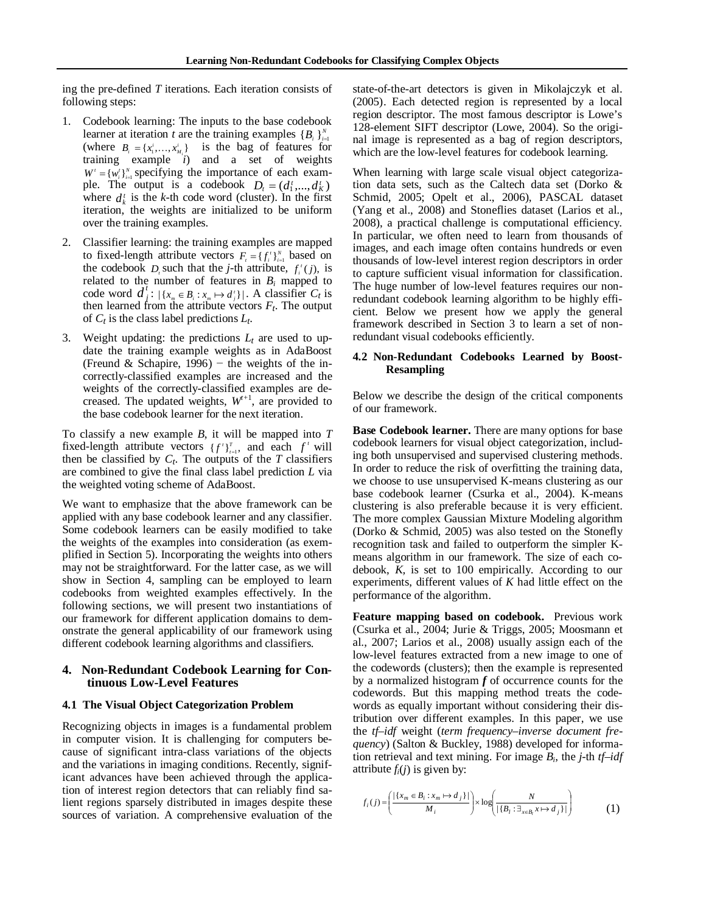ing the pre-defined *T* iterations. Each iteration consists of following steps:

- 1. Codebook learning: The inputs to the base codebook learner at iteration *t* are the training examples  ${B_i}_{i=1}^N$ (where  $B_i = \{x_1^i, \dots, x_{M_i}^i\}$  is the bag of features for training example *i*) and a set of weights  $W' = \{w_i^t\}_{i=1}^N$  specifying the importance of each example. The output is a codebook  $D_t = (d_1^t, ..., d_K^t)$ where  $d_k^t$  is the *k*-th code word (cluster). In the first iteration, the weights are initialized to be uniform over the training examples.
- 2. Classifier learning: the training examples are mapped to fixed-length attribute vectors  $F_i = \{f_i^r\}_{i=1}^N$  based on the codebook  $D_i$  such that the *j*-th attribute,  $f_i^t(j)$ , is related to the number of features in  $B_i$  mapped to code word  $d_j^t : |\{x_m \in B_i : x_m \mapsto d_j^t\}|$ . A classifier  $C_t$  is then learned from the attribute vectors  $F_t$ . The output of  $C_t$  is the class label predictions  $L_t$ .
- 3. Weight updating: the predictions  $L_t$  are used to update the training example weights as in AdaBoost (Freund & Schapire, 1996) – the weights of the incorrectly-classified examples are increased and the weights of the correctly-classified examples are decreased. The updated weights,  $W^{+1}$ , are provided to the base codebook learner for the next iteration.

To classify a new example *B*, it will be mapped into *T* fixed-length attribute vectors  $\{f'\}_{t=1}^T$ , and each  $f'$  will then be classified by  $C_t$ . The outputs of the *T* classifiers are combined to give the final class label prediction *L* via the weighted voting scheme of AdaBoost.

We want to emphasize that the above framework can be applied with any base codebook learner and any classifier. Some codebook learners can be easily modified to take the weights of the examples into consideration (as exemplified in Section 5). Incorporating the weights into others may not be straightforward. For the latter case, as we will show in Section 4, sampling can be employed to learn codebooks from weighted examples effectively. In the following sections, we will present two instantiations of our framework for different application domains to demonstrate the general applicability of our framework using different codebook learning algorithms and classifiers.

#### **4. Non-Redundant Codebook Learning for Continuous Low-Level Features**

#### **4.1 The Visual Object Categorization Problem**

Recognizing objects in images is a fundamental problem in computer vision. It is challenging for computers because of significant intra-class variations of the objects and the variations in imaging conditions. Recently, significant advances have been achieved through the application of interest region detectors that can reliably find salient regions sparsely distributed in images despite these sources of variation. A comprehensive evaluation of the

state-of-the-art detectors is given in Mikolajczyk et al. (2005). Each detected region is represented by a local region descriptor. The most famous descriptor is Lowe's 128-element SIFT descriptor (Lowe, 2004). So the original image is represented as a bag of region descriptors, which are the low-level features for codebook learning.

When learning with large scale visual object categorization data sets, such as the Caltech data set (Dorko & Schmid, 2005; Opelt et al., 2006), PASCAL dataset (Yang et al., 2008) and Stoneflies dataset (Larios et al., 2008), a practical challenge is computational efficiency. In particular, we often need to learn from thousands of images, and each image often contains hundreds or even thousands of low-level interest region descriptors in order to capture sufficient visual information for classification. The huge number of low-level features requires our nonredundant codebook learning algorithm to be highly efficient. Below we present how we apply the general framework described in Section 3 to learn a set of nonredundant visual codebooks efficiently.

#### **4.2 Non-Redundant Codebooks Learned by Boost-Resampling**

Below we describe the design of the critical components of our framework.

**Base Codebook learner.** There are many options for base codebook learners for visual object categorization, including both unsupervised and supervised clustering methods. In order to reduce the risk of overfitting the training data, we choose to use unsupervised K-means clustering as our base codebook learner (Csurka et al., 2004). K-means clustering is also preferable because it is very efficient. The more complex Gaussian Mixture Modeling algorithm (Dorko & Schmid, 2005) was also tested on the Stonefly recognition task and failed to outperform the simpler Kmeans algorithm in our framework. The size of each codebook, *K,* is set to 100 empirically. According to our experiments, different values of *K* had little effect on the performance of the algorithm.

**Feature mapping based on codebook.** Previous work (Csurka et al., 2004; Jurie & Triggs, 2005; Moosmann et al., 2007; Larios et al., 2008) usually assign each of the low-level features extracted from a new image to one of the codewords (clusters); then the example is represented by a normalized histogram *f* of occurrence counts for the codewords. But this mapping method treats the codewords as equally important without considering their distribution over different examples. In this paper, we use the *tf–idf* weight (*term frequency–inverse document frequency*) (Salton & Buckley, 1988) developed for information retrieval and text mining. For image *Bi*, the *j-*th *tf–idf* attribute  $f_i(i)$  is given by:

$$
f_i(j) = \left(\frac{|\{x_m \in B_i : x_m \mapsto d_j\}|}{M_i}\right) \times \log \left(\frac{N}{|\{B_i : \exists_{x \in B_i} x \mapsto d_j\}|}\right) \tag{1}
$$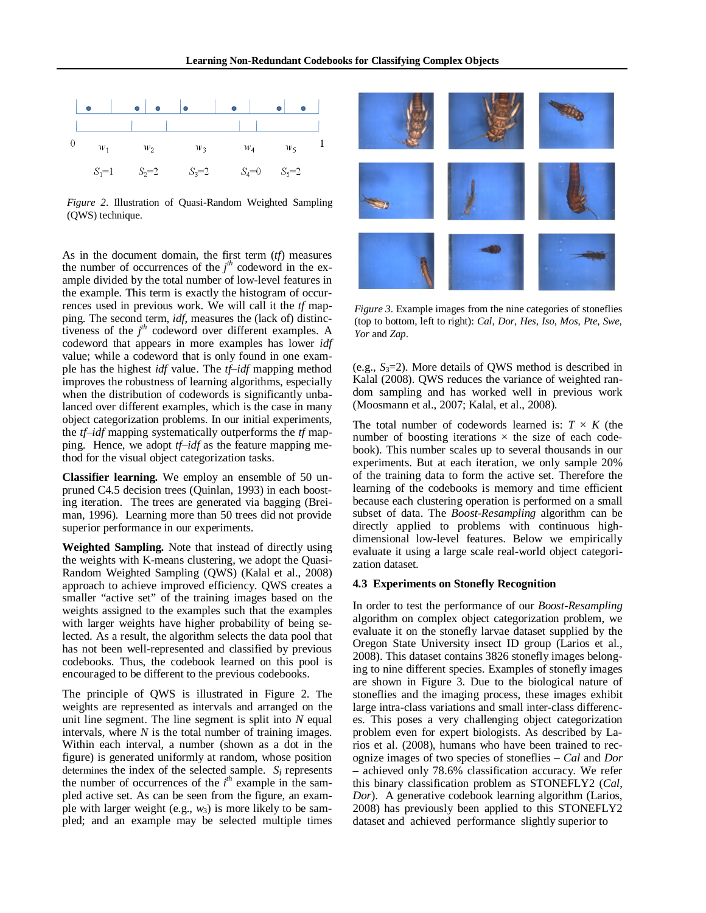

*Figure 2*. Illustration of Quasi-Random Weighted Sampling (QWS) technique.

As in the document domain, the first term (*tf*) measures the number of occurrences of the  $j<sup>th</sup>$  codeword in the example divided by the total number of low-level features in the example. This term is exactly the histogram of occurrences used in previous work. We will call it the *tf* mapping. The second term, *idf*, measures the (lack of) distinctiveness of the  $j<sup>th</sup>$  codeword over different examples. A codeword that appears in more examples has lower *idf* value; while a codeword that is only found in one example has the highest *idf* value. The *tf–idf* mapping method improves the robustness of learning algorithms, especially when the distribution of codewords is significantly unbalanced over different examples, which is the case in many object categorization problems. In our initial experiments, the *tf–idf* mapping systematically outperforms the *tf* mapping. Hence, we adopt *tf–idf* as the feature mapping method for the visual object categorization tasks.

**Classifier learning.** We employ an ensemble of 50 unpruned C4.5 decision trees (Quinlan, 1993) in each boosting iteration. The trees are generated via bagging (Breiman, 1996). Learning more than 50 trees did not provide superior performance in our experiments.

**Weighted Sampling.** Note that instead of directly using the weights with K-means clustering, we adopt the Quasi-Random Weighted Sampling (QWS) (Kalal et al., 2008) approach to achieve improved efficiency. QWS creates a smaller "active set" of the training images based on the weights assigned to the examples such that the examples with larger weights have higher probability of being selected. As a result, the algorithm selects the data pool that has not been well-represented and classified by previous codebooks. Thus, the codebook learned on this pool is encouraged to be different to the previous codebooks.

The principle of QWS is illustrated in Figure 2. The weights are represented as intervals and arranged on the unit line segment. The line segment is split into *N* equal intervals, where *N* is the total number of training images. Within each interval, a number (shown as a dot in the figure) is generated uniformly at random, whose position determines the index of the selected sample. *Si* represents the number of occurrences of the *i th* example in the sampled active set. As can be seen from the figure, an example with larger weight (e.g., *w*3) is more likely to be sampled; and an example may be selected multiple times



*Figure 3*. Example images from the nine categories of stoneflies (top to bottom, left to right): *Cal*, *Dor*, *Hes*, *Iso*, *Mos*, *Pte*, *Swe*, *Yor* and *Zap*.

(e.g.,  $S_3=2$ ). More details of QWS method is described in Kalal (2008). QWS reduces the variance of weighted random sampling and has worked well in previous work (Moosmann et al., 2007; Kalal, et al., 2008).

The total number of codewords learned is:  $T \times K$  (the number of boosting iterations  $\times$  the size of each codebook). This number scales up to several thousands in our experiments. But at each iteration, we only sample 20% of the training data to form the active set. Therefore the learning of the codebooks is memory and time efficient because each clustering operation is performed on a small subset of data. The *Boost-Resampling* algorithm can be directly applied to problems with continuous highdimensional low-level features. Below we empirically evaluate it using a large scale real-world object categorization dataset.

#### **4.3 Experiments on Stonefly Recognition**

In order to test the performance of our *Boost-Resampling* algorithm on complex object categorization problem, we evaluate it on the stonefly larvae dataset supplied by the Oregon State University insect ID group (Larios et al., 2008). This dataset contains 3826 stonefly images belonging to nine different species. Examples of stonefly images are shown in Figure 3. Due to the biological nature of stoneflies and the imaging process, these images exhibit large intra-class variations and small inter-class differences. This poses a very challenging object categorization problem even for expert biologists. As described by Larios et al. (2008), humans who have been trained to recognize images of two species of stoneflies – *Cal* and *Dor* – achieved only 78.6% classification accuracy. We refer this binary classification problem as STONEFLY2 (*Cal*, *Dor*). A generative codebook learning algorithm (Larios, 2008) has previously been applied to this STONEFLY2 dataset and achieved performance slightly superior to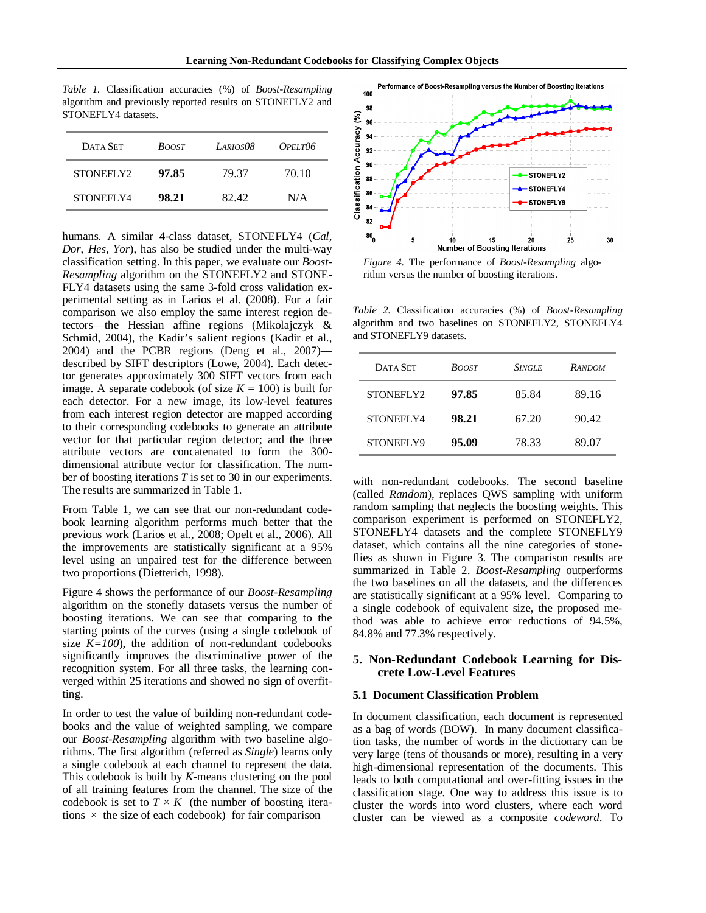*Table 1*. Classification accuracies (%) of *Boost-Resampling* algorithm and previously reported results on STONEFLY2 and STONEFLY4 datasets.

| DATA SET  | <b>BOOST</b> | LARIOSO8 | $OPELT$ 06 |
|-----------|--------------|----------|------------|
| STONEFLY2 | 97.85        | 79.37    | 70.10      |
| STONEFLY4 | 98.21        | 82.42    | N/A        |

humans. A similar 4-class dataset, STONEFLY4 (*Cal*, *Dor*, *Hes*, *Yor*), has also be studied under the multi-way classification setting. In this paper, we evaluate our *Boost-Resampling* algorithm on the STONEFLY2 and STONE-FLY4 datasets using the same 3-fold cross validation experimental setting as in Larios et al. (2008). For a fair comparison we also employ the same interest region detectors—the Hessian affine regions (Mikolajczyk & Schmid, 2004), the Kadir's salient regions (Kadir et al., 2004) and the PCBR regions (Deng et al., 2007) described by SIFT descriptors (Lowe, 2004). Each detector generates approximately 300 SIFT vectors from each image. A separate codebook (of size  $K = 100$ ) is built for each detector. For a new image, its low-level features from each interest region detector are mapped according to their corresponding codebooks to generate an attribute vector for that particular region detector; and the three attribute vectors are concatenated to form the 300 dimensional attribute vector for classification. The number of boosting iterations *T* is set to 30 in our experiments. The results are summarized in Table 1.

From Table 1, we can see that our non-redundant codebook learning algorithm performs much better that the previous work (Larios et al., 2008; Opelt et al., 2006). All the improvements are statistically significant at a 95% level using an unpaired test for the difference between two proportions (Dietterich, 1998).

Figure 4 shows the performance of our *Boost-Resampling* algorithm on the stonefly datasets versus the number of boosting iterations. We can see that comparing to the starting points of the curves (using a single codebook of size  $K=100$ ), the addition of non-redundant codebooks significantly improves the discriminative power of the recognition system. For all three tasks, the learning converged within 25 iterations and showed no sign of overfitting.

In order to test the value of building non-redundant codebooks and the value of weighted sampling, we compare our *Boost-Resampling* algorithm with two baseline algorithms. The first algorithm (referred as *Single*) learns only a single codebook at each channel to represent the data. This codebook is built by *K*-means clustering on the pool of all training features from the channel. The size of the codebook is set to  $T \times K$  (the number of boosting iterations  $\times$  the size of each codebook) for fair comparison



*Figure 4*. The performance of *Boost-Resampling* algorithm versus the number of boosting iterations.

*Table 2*. Classification accuracies (%) of *Boost-Resampling* algorithm and two baselines on STONEFLY2, STONEFLY4 and STONEFLY9 datasets.

| DATA SET         | <b>SINGLE</b><br><b>BOOST</b> |       | <b>RANDOM</b> |  |
|------------------|-------------------------------|-------|---------------|--|
| STONEFLY2        | 97.85                         | 85.84 | 89.16         |  |
| <b>STONEFLY4</b> | 98.21                         | 67.20 | 90.42         |  |
| STONEFLY9        | 95.09                         | 78.33 | 89.07         |  |

with non-redundant codebooks. The second baseline (called *Random*), replaces QWS sampling with uniform random sampling that neglects the boosting weights. This comparison experiment is performed on STONEFLY2, STONEFLY4 datasets and the complete STONEFLY9 dataset, which contains all the nine categories of stoneflies as shown in Figure 3. The comparison results are summarized in Table 2. *Boost-Resampling* outperforms the two baselines on all the datasets, and the differences are statistically significant at a 95% level. Comparing to a single codebook of equivalent size, the proposed method was able to achieve error reductions of 94.5%, 84.8% and 77.3% respectively.

# **5. Non-Redundant Codebook Learning for Discrete Low-Level Features**

#### **5.1 Document Classification Problem**

In document classification, each document is represented as a bag of words (BOW). In many document classification tasks, the number of words in the dictionary can be very large (tens of thousands or more), resulting in a very high-dimensional representation of the documents. This leads to both computational and over-fitting issues in the classification stage. One way to address this issue is to cluster the words into word clusters, where each word cluster can be viewed as a composite *codeword*. To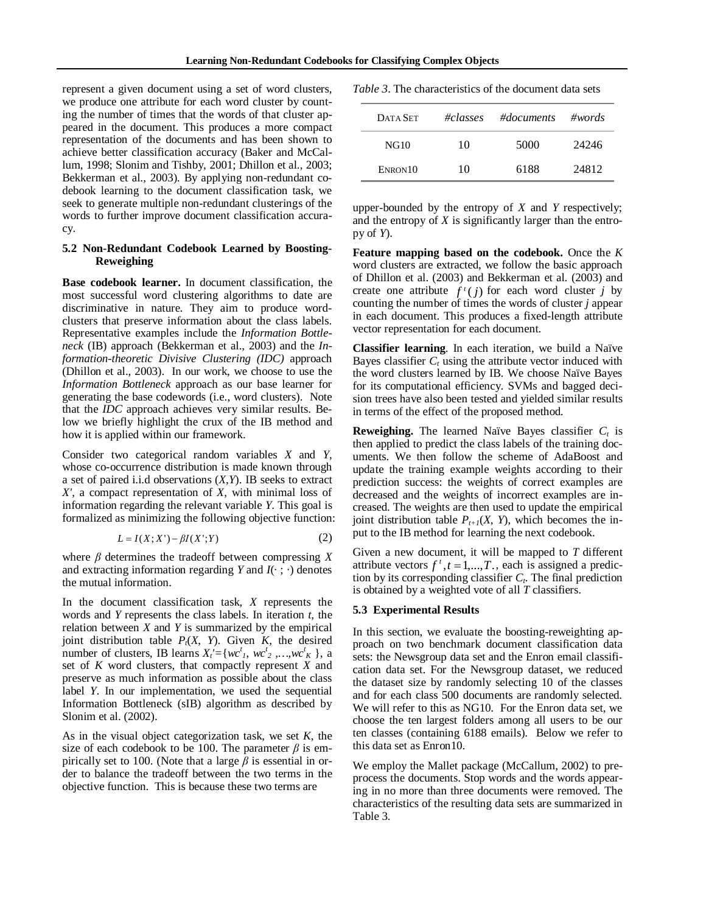represent a given document using a set of word clusters, we produce one attribute for each word cluster by counting the number of times that the words of that cluster appeared in the document. This produces a more compact representation of the documents and has been shown to achieve better classification accuracy (Baker and McCallum, 1998; Slonim and Tishby, 2001; Dhillon et al., 2003; Bekkerman et al., 2003). By applying non-redundant codebook learning to the document classification task, we seek to generate multiple non-redundant clusterings of the words to further improve document classification accuracy.

# **5.2 Non-Redundant Codebook Learned by Boosting-Reweighing**

**Base codebook learner.** In document classification, the most successful word clustering algorithms to date are discriminative in nature. They aim to produce wordclusters that preserve information about the class labels. Representative examples include the *Information Bottleneck* (IB) approach (Bekkerman et al., 2003) and the *Information-theoretic Divisive Clustering (IDC)* approach (Dhillon et al., 2003). In our work, we choose to use the *Information Bottleneck* approach as our base learner for generating the base codewords (i.e., word clusters). Note that the *IDC* approach achieves very similar results. Below we briefly highlight the crux of the IB method and how it is applied within our framework.

Consider two categorical random variables *X* and *Y*, whose co-occurrence distribution is made known through a set of paired i.i.d observations (*X*,*Y*). IB seeks to extract *X'*, a compact representation of *X*, with minimal loss of information regarding the relevant variable *Y*. This goal is formalized as minimizing the following objective function:

$$
L = I(X; X') - \beta I(X'; Y) \tag{2}
$$

where *β* determines the tradeoff between compressing *X* and extracting information regarding *Y* and  $I(\cdot; \cdot)$  denotes the mutual information.

In the document classification task, *X* represents the words and *Y* represents the class labels. In iteration *t*, the relation between *X* and *Y* is summarized by the empirical joint distribution table  $P_t(X, Y)$ . Given *K*, the desired number of clusters, IB learns  $X'_i = \{wc^t_1, wc^t_2, ..., wc^t_K\}$ , a set of *K* word clusters, that compactly represent *X* and preserve as much information as possible about the class label *Y*. In our implementation, we used the sequential Information Bottleneck (sIB) algorithm as described by Slonim et al. (2002).

As in the visual object categorization task, we set *K*, the size of each codebook to be 100. The parameter  $\beta$  is empirically set to 100. (Note that a large *β* is essential in order to balance the tradeoff between the two terms in the objective function. This is because these two terms are

*Table 3*. The characteristics of the document data sets

| DATA SET    | #classes | #documents | $\#words$ |
|-------------|----------|------------|-----------|
| <b>NG10</b> | 10       | 5000       | 24246     |
| ENRON10     | 10       | 6188       | 24812     |

upper-bounded by the entropy of *X* and *Y* respectively; and the entropy of *X* is significantly larger than the entropy of *Y*).

**Feature mapping based on the codebook.** Once the *K* word clusters are extracted, we follow the basic approach of Dhillon et al. (2003) and Bekkerman et al. (2003) and create one attribute  $f^{\dagger}(j)$  for each word cluster *j* by counting the number of times the words of cluster *j* appear in each document. This produces a fixed-length attribute vector representation for each document.

**Classifier learning**. In each iteration, we build a Naïve Bayes classifier  $C_t$  using the attribute vector induced with the word clusters learned by IB. We choose Naïve Bayes for its computational efficiency. SVMs and bagged decision trees have also been tested and yielded similar results in terms of the effect of the proposed method.

**Reweighing.** The learned Naïve Bayes classifier  $C_t$  is then applied to predict the class labels of the training documents. We then follow the scheme of AdaBoost and update the training example weights according to their prediction success: the weights of correct examples are decreased and the weights of incorrect examples are increased. The weights are then used to update the empirical joint distribution table  $P_{t+1}(X, Y)$ , which becomes the input to the IB method for learning the next codebook.

Given a new document, it will be mapped to *T* different attribute vectors  $f^{t}$ ,  $t = 1,...,T$ , each is assigned a prediction by its corresponding classifier  $C_t$ . The final prediction is obtained by a weighted vote of all *T* classifiers.

#### **5.3 Experimental Results**

In this section, we evaluate the boosting-reweighting approach on two benchmark document classification data sets: the Newsgroup data set and the Enron email classification data set. For the Newsgroup dataset, we reduced the dataset size by randomly selecting 10 of the classes and for each class 500 documents are randomly selected. We will refer to this as NG10. For the Enron data set, we choose the ten largest folders among all users to be our ten classes (containing 6188 emails). Below we refer to this data set as Enron10.

We employ the Mallet package (McCallum, 2002) to preprocess the documents. Stop words and the words appearing in no more than three documents were removed. The characteristics of the resulting data sets are summarized in Table 3.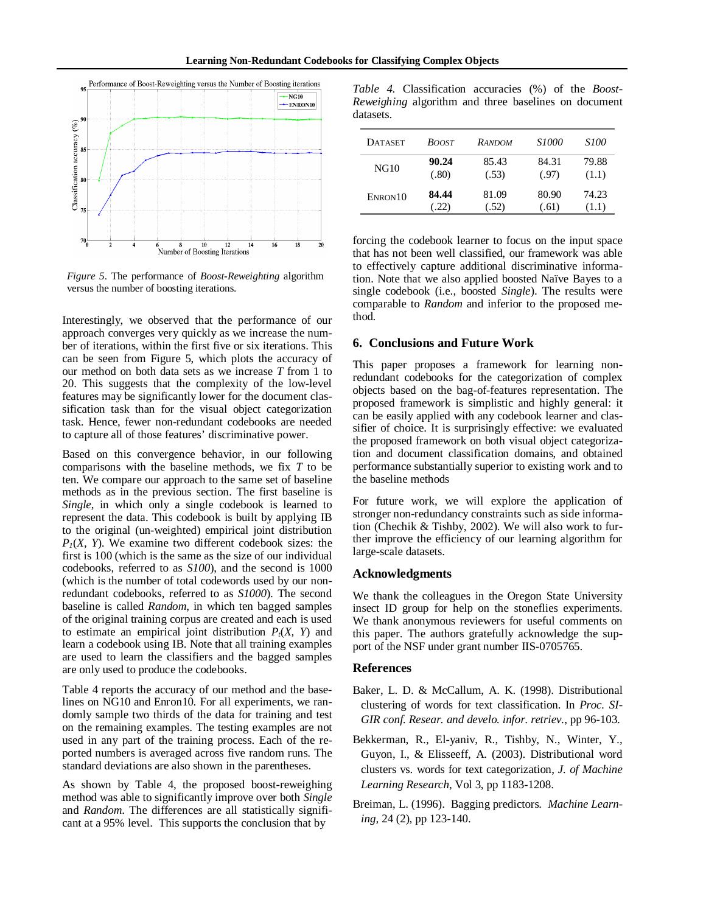

*Figure 5*. The performance of *Boost-Reweighting* algorithm versus the number of boosting iterations.

Interestingly, we observed that the performance of our approach converges very quickly as we increase the number of iterations, within the first five or six iterations. This can be seen from Figure 5, which plots the accuracy of our method on both data sets as we increase *T* from 1 to 20. This suggests that the complexity of the low-level features may be significantly lower for the document classification task than for the visual object categorization task. Hence, fewer non-redundant codebooks are needed to capture all of those features' discriminative power.

Based on this convergence behavior, in our following comparisons with the baseline methods, we fix *T* to be ten. We compare our approach to the same set of baseline methods as in the previous section. The first baseline is *Single*, in which only a single codebook is learned to represent the data. This codebook is built by applying IB to the original (un-weighted) empirical joint distribution  $P_1(X, Y)$ . We examine two different codebook sizes: the first is 100 (which is the same as the size of our individual codebooks, referred to as *S100*), and the second is 1000 (which is the number of total codewords used by our nonredundant codebooks, referred to as *S1000*). The second baseline is called *Random*, in which ten bagged samples of the original training corpus are created and each is used to estimate an empirical joint distribution  $P_t(X, Y)$  and learn a codebook using IB. Note that all training examples are used to learn the classifiers and the bagged samples are only used to produce the codebooks.

Table 4 reports the accuracy of our method and the baselines on NG10 and Enron10. For all experiments, we randomly sample two thirds of the data for training and test on the remaining examples. The testing examples are not used in any part of the training process. Each of the reported numbers is averaged across five random runs. The standard deviations are also shown in the parentheses.

As shown by Table 4, the proposed boost-reweighing method was able to significantly improve over both *Single*  and *Random*. The differences are all statistically significant at a 95% level. This supports the conclusion that by

*Table 4*. Classification accuracies (%) of the *Boost-Reweighing* algorithm and three baselines on document datasets.

| <b>DATASET</b> | <b>BOOST</b> | <b>RANDOM</b> | <i>S1000</i> | <i>S100</i> |
|----------------|--------------|---------------|--------------|-------------|
| NG10           | 90.24        | 85.43         | 84.31        | 79.88       |
|                | (.80)        | (.53)         | (.97)        | (1.1)       |
| ENRON10        | 84.44        | 81.09         | 80.90        | 74.23       |
|                | (22)         | (.52)         | (.61)        | (1.1)       |

forcing the codebook learner to focus on the input space that has not been well classified, our framework was able to effectively capture additional discriminative information. Note that we also applied boosted Naïve Bayes to a single codebook (i.e., boosted *Single*). The results were comparable to *Random* and inferior to the proposed method.

# **6. Conclusions and Future Work**

This paper proposes a framework for learning nonredundant codebooks for the categorization of complex objects based on the bag-of-features representation. The proposed framework is simplistic and highly general: it can be easily applied with any codebook learner and classifier of choice. It is surprisingly effective: we evaluated the proposed framework on both visual object categorization and document classification domains, and obtained performance substantially superior to existing work and to the baseline methods

For future work, we will explore the application of stronger non-redundancy constraints such as side information (Chechik & Tishby, 2002). We will also work to further improve the efficiency of our learning algorithm for large-scale datasets.

### **Acknowledgments**

We thank the colleagues in the Oregon State University insect ID group for help on the stoneflies experiments. We thank anonymous reviewers for useful comments on this paper. The authors gratefully acknowledge the support of the NSF under grant number IIS-0705765.

#### **References**

- Baker, L. D. & McCallum, A. K. (1998). Distributional clustering of words for text classification. In *Proc. SI-GIR conf. Resear. and develo. infor. retriev.*, pp 96-103.
- Bekkerman, R., El-yaniv, R., Tishby, N., Winter, Y., Guyon, I., & Elisseeff, A. (2003). Distributional word clusters vs. words for text categorization, *J. of Machine Learning Research*, Vol 3, pp 1183-1208.
- Breiman, L. (1996). Bagging predictors. *Machine Learning,* 24 (2), pp 123-140.